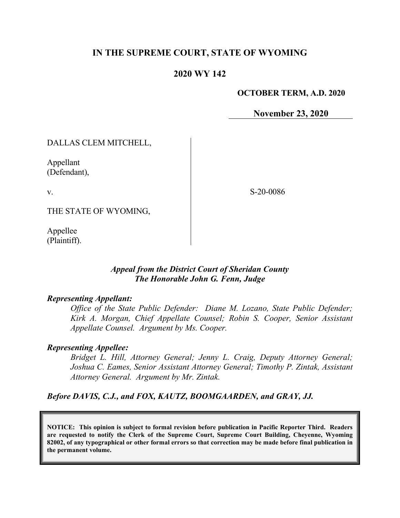### **IN THE SUPREME COURT, STATE OF WYOMING**

### **2020 WY 142**

#### **OCTOBER TERM, A.D. 2020**

**November 23, 2020**

### DALLAS CLEM MITCHELL,

Appellant (Defendant),

v.

S-20-0086

THE STATE OF WYOMING,

Appellee (Plaintiff).

#### *Appeal from the District Court of Sheridan County The Honorable John G. Fenn, Judge*

#### *Representing Appellant:*

*Office of the State Public Defender: Diane M. Lozano, State Public Defender; Kirk A. Morgan, Chief Appellate Counsel; Robin S. Cooper, Senior Assistant Appellate Counsel. Argument by Ms. Cooper.*

#### *Representing Appellee:*

*Bridget L. Hill, Attorney General; Jenny L. Craig, Deputy Attorney General; Joshua C. Eames, Senior Assistant Attorney General; Timothy P. Zintak, Assistant Attorney General. Argument by Mr. Zintak.*

*Before DAVIS, C.J., and FOX, KAUTZ, BOOMGAARDEN, and GRAY, JJ.*

**NOTICE: This opinion is subject to formal revision before publication in Pacific Reporter Third. Readers are requested to notify the Clerk of the Supreme Court, Supreme Court Building, Cheyenne, Wyoming 82002, of any typographical or other formal errors so that correction may be made before final publication in the permanent volume.**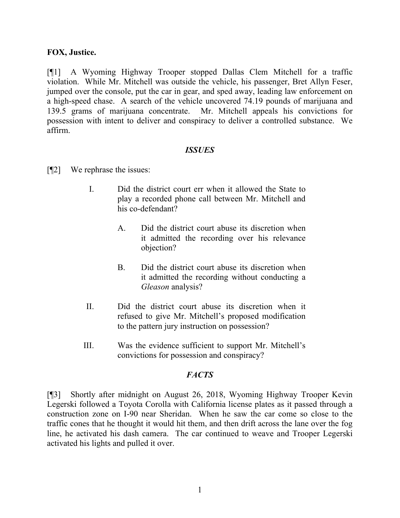#### **FOX, Justice.**

[¶1] A Wyoming Highway Trooper stopped Dallas Clem Mitchell for a traffic violation. While Mr. Mitchell was outside the vehicle, his passenger, Bret Allyn Feser, jumped over the console, put the car in gear, and sped away, leading law enforcement on a high-speed chase. A search of the vehicle uncovered 74.19 pounds of marijuana and 139.5 grams of marijuana concentrate. Mr. Mitchell appeals his convictions for possession with intent to deliver and conspiracy to deliver a controlled substance. We affirm.

### *ISSUES*

- [¶2] We rephrase the issues:
	- I. Did the district court err when it allowed the State to play a recorded phone call between Mr. Mitchell and his co-defendant?
		- A. Did the district court abuse its discretion when it admitted the recording over his relevance objection?
		- B. Did the district court abuse its discretion when it admitted the recording without conducting a *Gleason* analysis?
	- II. Did the district court abuse its discretion when it refused to give Mr. Mitchell's proposed modification to the pattern jury instruction on possession?
	- III. Was the evidence sufficient to support Mr. Mitchell's convictions for possession and conspiracy?

### *FACTS*

[¶3] Shortly after midnight on August 26, 2018, Wyoming Highway Trooper Kevin Legerski followed a Toyota Corolla with California license plates as it passed through a construction zone on I-90 near Sheridan. When he saw the car come so close to the traffic cones that he thought it would hit them, and then drift across the lane over the fog line, he activated his dash camera. The car continued to weave and Trooper Legerski activated his lights and pulled it over.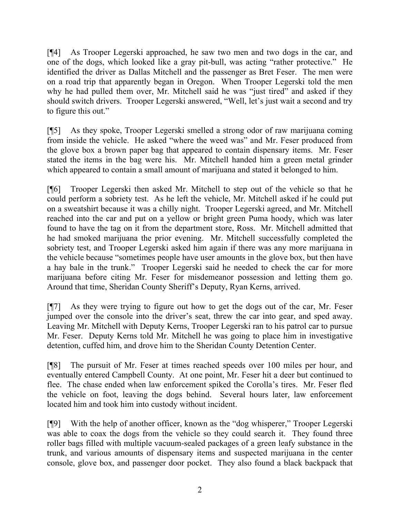[¶4] As Trooper Legerski approached, he saw two men and two dogs in the car, and one of the dogs, which looked like a gray pit-bull, was acting "rather protective." He identified the driver as Dallas Mitchell and the passenger as Bret Feser. The men were on a road trip that apparently began in Oregon. When Trooper Legerski told the men why he had pulled them over, Mr. Mitchell said he was "just tired" and asked if they should switch drivers. Trooper Legerski answered, "Well, let's just wait a second and try to figure this out."

[¶5] As they spoke, Trooper Legerski smelled a strong odor of raw marijuana coming from inside the vehicle. He asked "where the weed was" and Mr. Feser produced from the glove box a brown paper bag that appeared to contain dispensary items. Mr. Feser stated the items in the bag were his. Mr. Mitchell handed him a green metal grinder which appeared to contain a small amount of marijuana and stated it belonged to him.

[¶6] Trooper Legerski then asked Mr. Mitchell to step out of the vehicle so that he could perform a sobriety test. As he left the vehicle, Mr. Mitchell asked if he could put on a sweatshirt because it was a chilly night. Trooper Legerski agreed, and Mr. Mitchell reached into the car and put on a yellow or bright green Puma hoody, which was later found to have the tag on it from the department store, Ross. Mr. Mitchell admitted that he had smoked marijuana the prior evening. Mr. Mitchell successfully completed the sobriety test, and Trooper Legerski asked him again if there was any more marijuana in the vehicle because "sometimes people have user amounts in the glove box, but then have a hay bale in the trunk." Trooper Legerski said he needed to check the car for more marijuana before citing Mr. Feser for misdemeanor possession and letting them go. Around that time, Sheridan County Sheriff's Deputy, Ryan Kerns, arrived.

[¶7] As they were trying to figure out how to get the dogs out of the car, Mr. Feser jumped over the console into the driver's seat, threw the car into gear, and sped away. Leaving Mr. Mitchell with Deputy Kerns, Trooper Legerski ran to his patrol car to pursue Mr. Feser. Deputy Kerns told Mr. Mitchell he was going to place him in investigative detention, cuffed him, and drove him to the Sheridan County Detention Center.

[¶8] The pursuit of Mr. Feser at times reached speeds over 100 miles per hour, and eventually entered Campbell County. At one point, Mr. Feser hit a deer but continued to flee. The chase ended when law enforcement spiked the Corolla's tires. Mr. Feser fled the vehicle on foot, leaving the dogs behind. Several hours later, law enforcement located him and took him into custody without incident.

[¶9] With the help of another officer, known as the "dog whisperer," Trooper Legerski was able to coax the dogs from the vehicle so they could search it. They found three roller bags filled with multiple vacuum-sealed packages of a green leafy substance in the trunk, and various amounts of dispensary items and suspected marijuana in the center console, glove box, and passenger door pocket. They also found a black backpack that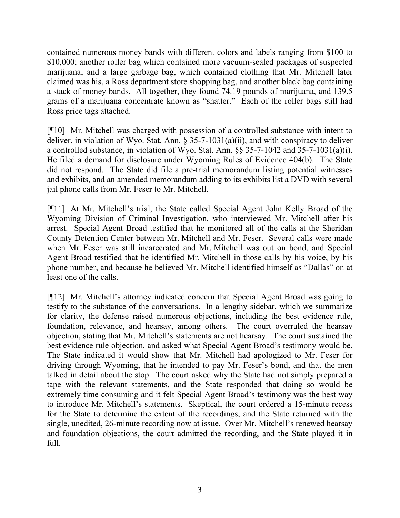contained numerous money bands with different colors and labels ranging from \$100 to \$10,000; another roller bag which contained more vacuum-sealed packages of suspected marijuana; and a large garbage bag, which contained clothing that Mr. Mitchell later claimed was his, a Ross department store shopping bag, and another black bag containing a stack of money bands. All together, they found 74.19 pounds of marijuana, and 139.5 grams of a marijuana concentrate known as "shatter." Each of the roller bags still had Ross price tags attached.

[¶10] Mr. Mitchell was charged with possession of a controlled substance with intent to deliver, in violation of Wyo. Stat. Ann. § 35-7-1031(a)(ii), and with conspiracy to deliver a controlled substance, in violation of Wyo. Stat. Ann. §§ 35-7-1042 and 35-7-1031(a)(i). He filed a demand for disclosure under Wyoming Rules of Evidence 404(b). The State did not respond. The State did file a pre-trial memorandum listing potential witnesses and exhibits, and an amended memorandum adding to its exhibits list a DVD with several jail phone calls from Mr. Feser to Mr. Mitchell.

[¶11] At Mr. Mitchell's trial, the State called Special Agent John Kelly Broad of the Wyoming Division of Criminal Investigation, who interviewed Mr. Mitchell after his arrest. Special Agent Broad testified that he monitored all of the calls at the Sheridan County Detention Center between Mr. Mitchell and Mr. Feser. Several calls were made when Mr. Feser was still incarcerated and Mr. Mitchell was out on bond, and Special Agent Broad testified that he identified Mr. Mitchell in those calls by his voice, by his phone number, and because he believed Mr. Mitchell identified himself as "Dallas" on at least one of the calls.

[¶12] Mr. Mitchell's attorney indicated concern that Special Agent Broad was going to testify to the substance of the conversations. In a lengthy sidebar, which we summarize for clarity, the defense raised numerous objections, including the best evidence rule, foundation, relevance, and hearsay, among others. The court overruled the hearsay objection, stating that Mr. Mitchell's statements are not hearsay. The court sustained the best evidence rule objection, and asked what Special Agent Broad's testimony would be. The State indicated it would show that Mr. Mitchell had apologized to Mr. Feser for driving through Wyoming, that he intended to pay Mr. Feser's bond, and that the men talked in detail about the stop. The court asked why the State had not simply prepared a tape with the relevant statements, and the State responded that doing so would be extremely time consuming and it felt Special Agent Broad's testimony was the best way to introduce Mr. Mitchell's statements. Skeptical, the court ordered a 15-minute recess for the State to determine the extent of the recordings, and the State returned with the single, unedited, 26-minute recording now at issue. Over Mr. Mitchell's renewed hearsay and foundation objections, the court admitted the recording, and the State played it in full.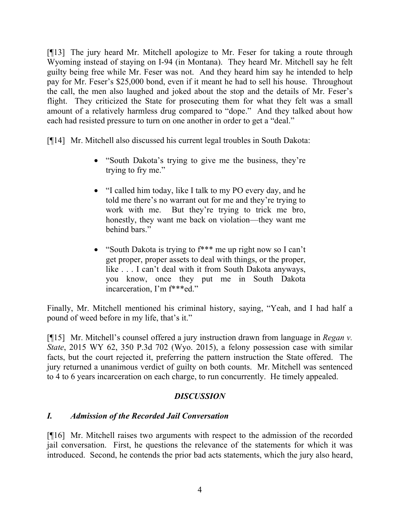[¶13] The jury heard Mr. Mitchell apologize to Mr. Feser for taking a route through Wyoming instead of staying on I-94 (in Montana). They heard Mr. Mitchell say he felt guilty being free while Mr. Feser was not. And they heard him say he intended to help pay for Mr. Feser's \$25,000 bond, even if it meant he had to sell his house. Throughout the call, the men also laughed and joked about the stop and the details of Mr. Feser's flight. They criticized the State for prosecuting them for what they felt was a small amount of a relatively harmless drug compared to "dope." And they talked about how each had resisted pressure to turn on one another in order to get a "deal."

[¶14] Mr. Mitchell also discussed his current legal troubles in South Dakota:

- "South Dakota's trying to give me the business, they're trying to fry me."
- "I called him today, like I talk to my PO every day, and he told me there's no warrant out for me and they're trying to work with me. But they're trying to trick me bro, honestly, they want me back on violation—they want me behind bars."
- "South Dakota is trying to  $f^{***}$  me up right now so I can't get proper, proper assets to deal with things, or the proper, like . . . I can't deal with it from South Dakota anyways, you know, once they put me in South Dakota incarceration, I'm f\*\*\*ed."

Finally, Mr. Mitchell mentioned his criminal history, saying, "Yeah, and I had half a pound of weed before in my life, that's it."

[¶15] Mr. Mitchell's counsel offered a jury instruction drawn from language in *Regan v. State*, 2015 WY 62, 350 P.3d 702 (Wyo. 2015), a felony possession case with similar facts, but the court rejected it, preferring the pattern instruction the State offered. The jury returned a unanimous verdict of guilty on both counts. Mr. Mitchell was sentenced to 4 to 6 years incarceration on each charge, to run concurrently. He timely appealed.

## *DISCUSSION*

## *I. Admission of the Recorded Jail Conversation*

[¶16] Mr. Mitchell raises two arguments with respect to the admission of the recorded jail conversation. First, he questions the relevance of the statements for which it was introduced. Second, he contends the prior bad acts statements, which the jury also heard,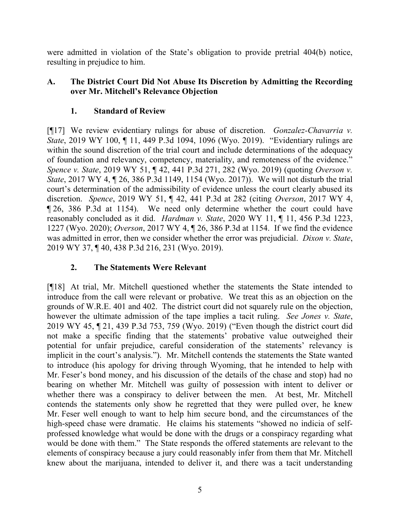were admitted in violation of the State's obligation to provide pretrial 404(b) notice, resulting in prejudice to him.

## **A. The District Court Did Not Abuse Its Discretion by Admitting the Recording over Mr. Mitchell's Relevance Objection**

# **1. Standard of Review**

[¶17] We review evidentiary rulings for abuse of discretion. *Gonzalez-Chavarria v. State*, 2019 WY 100, ¶ 11, 449 P.3d 1094, 1096 (Wyo. 2019). "Evidentiary rulings are within the sound discretion of the trial court and include determinations of the adequacy of foundation and relevancy, competency, materiality, and remoteness of the evidence." *Spence v. State*, 2019 WY 51, ¶ 42, 441 P.3d 271, 282 (Wyo. 2019) (quoting *Overson v. State*, 2017 WY 4, ¶ 26, 386 P.3d 1149, 1154 (Wyo. 2017)).We will not disturb the trial court's determination of the admissibility of evidence unless the court clearly abused its discretion. *Spence*, 2019 WY 51, ¶ 42, 441 P.3d at 282 (citing *Overson*, 2017 WY 4, ¶ 26, 386 P.3d at 1154). We need only determine whether the court could have reasonably concluded as it did. *Hardman v. State*, 2020 WY 11, ¶ 11, 456 P.3d 1223, 1227 (Wyo. 2020); *Overson*, 2017 WY 4, ¶ 26, 386 P.3d at 1154. If we find the evidence was admitted in error, then we consider whether the error was prejudicial. *Dixon v. State*, 2019 WY 37, ¶ 40, 438 P.3d 216, 231 (Wyo. 2019).

# **2. The Statements Were Relevant**

[¶18] At trial, Mr. Mitchell questioned whether the statements the State intended to introduce from the call were relevant or probative. We treat this as an objection on the grounds of W.R.E. 401 and 402. The district court did not squarely rule on the objection, however the ultimate admission of the tape implies a tacit ruling. *See Jones v. State*, 2019 WY 45, ¶ 21, 439 P.3d 753, 759 (Wyo. 2019) ("Even though the district court did not make a specific finding that the statements' probative value outweighed their potential for unfair prejudice, careful consideration of the statements' relevancy is implicit in the court's analysis."). Mr. Mitchell contends the statements the State wanted to introduce (his apology for driving through Wyoming, that he intended to help with Mr. Feser's bond money, and his discussion of the details of the chase and stop) had no bearing on whether Mr. Mitchell was guilty of possession with intent to deliver or whether there was a conspiracy to deliver between the men. At best, Mr. Mitchell contends the statements only show he regretted that they were pulled over, he knew Mr. Feser well enough to want to help him secure bond, and the circumstances of the high-speed chase were dramatic. He claims his statements "showed no indicia of selfprofessed knowledge what would be done with the drugs or a conspiracy regarding what would be done with them." The State responds the offered statements are relevant to the elements of conspiracy because a jury could reasonably infer from them that Mr. Mitchell knew about the marijuana, intended to deliver it, and there was a tacit understanding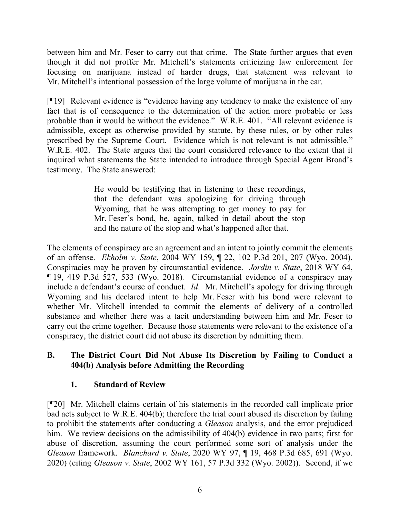between him and Mr. Feser to carry out that crime. The State further argues that even though it did not proffer Mr. Mitchell's statements criticizing law enforcement for focusing on marijuana instead of harder drugs, that statement was relevant to Mr. Mitchell's intentional possession of the large volume of marijuana in the car.

[¶19] Relevant evidence is "evidence having any tendency to make the existence of any fact that is of consequence to the determination of the action more probable or less probable than it would be without the evidence." W.R.E. 401. "All relevant evidence is admissible, except as otherwise provided by statute, by these rules, or by other rules prescribed by the Supreme Court. Evidence which is not relevant is not admissible." W.R.E. 402. The State argues that the court considered relevance to the extent that it inquired what statements the State intended to introduce through Special Agent Broad's testimony. The State answered:

> He would be testifying that in listening to these recordings, that the defendant was apologizing for driving through Wyoming, that he was attempting to get money to pay for Mr. Feser's bond, he, again, talked in detail about the stop and the nature of the stop and what's happened after that.

The elements of conspiracy are an agreement and an intent to jointly commit the elements of an offense. *Ekholm v. State*, 2004 WY 159, ¶ 22, 102 P.3d 201, 207 (Wyo. 2004). Conspiracies may be proven by circumstantial evidence. *Jordin v. State*, 2018 WY 64, ¶ 19, 419 P.3d 527, 533 (Wyo. 2018)*.* Circumstantial evidence of a conspiracy may include a defendant's course of conduct. *Id*. Mr. Mitchell's apology for driving through Wyoming and his declared intent to help Mr. Feser with his bond were relevant to whether Mr. Mitchell intended to commit the elements of delivery of a controlled substance and whether there was a tacit understanding between him and Mr. Feser to carry out the crime together. Because those statements were relevant to the existence of a conspiracy, the district court did not abuse its discretion by admitting them.

### **B. The District Court Did Not Abuse Its Discretion by Failing to Conduct a 404(b) Analysis before Admitting the Recording**

## **1. Standard of Review**

[¶20] Mr. Mitchell claims certain of his statements in the recorded call implicate prior bad acts subject to W.R.E. 404(b); therefore the trial court abused its discretion by failing to prohibit the statements after conducting a *Gleason* analysis, and the error prejudiced him. We review decisions on the admissibility of 404(b) evidence in two parts; first for abuse of discretion, assuming the court performed some sort of analysis under the *Gleason* framework. *Blanchard v. State*, 2020 WY 97, ¶ 19, 468 P.3d 685, 691 (Wyo. 2020) (citing *Gleason v. State*, 2002 WY 161, 57 P.3d 332 (Wyo. 2002)). Second, if we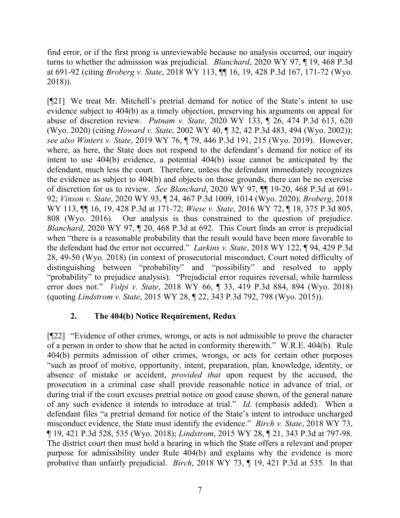find error, or if the first prong is unreviewable because no analysis occurred, our inquiry turns to whether the admission was prejudicial. *Blanchard*, 2020 WY 97, ¶ 19, 468 P.3d at 691-92 (citing *Broberg v. State*, 2018 WY 113, ¶¶ 16, 19, 428 P.3d 167, 171-72 (Wyo. 2018)).

[¶21] We treat Mr. Mitchell's pretrial demand for notice of the State's intent to use evidence subject to 404(b) as a timely objection, preserving his arguments on appeal for abuse of discretion review. *Putnam v. State*, 2020 WY 133, ¶ 26, 474 P.3d 613, 620 (Wyo. 2020) (citing *Howard v. State*, 2002 WY 40, ¶ 32, 42 P.3d 483, 494 (Wyo. 2002)); *see also Winters v. State*, 2019 WY 76, ¶ 79, 446 P.3d 191, 215 (Wyo. 2019). However, where, as here, the State does not respond to the defendant's demand for notice of its intent to use 404(b) evidence, a potential 404(b) issue cannot be anticipated by the defendant, much less the court. Therefore, unless the defendant immediately recognizes the evidence as subject to 404(b) and objects on those grounds, there can be no exercise of discretion for us to review. *See Blanchard*, 2020 WY 97, ¶¶ 19-20, 468 P.3d at 691- 92; *Vinson v. State*, 2020 WY 93, ¶ 24, 467 P.3d 1009, 1014 (Wyo. 2020); *Broberg*, 2018 WY 113, ¶¶ 16, 19, 428 P.3d at 171-72; *Wiese v. State*, 2016 WY 72, ¶ 18, 375 P.3d 805, 808 (Wyo. 2016). Our analysis is thus constrained to the question of prejudice. *Blanchard*, 2020 WY 97, 1 20, 468 P.3d at 692. This Court finds an error is prejudicial when "there is a reasonable probability that the result would have been more favorable to the defendant had the error not occurred." *Larkins v. State*, 2018 WY 122, ¶ 94, 429 P.3d 28, 49-50 (Wyo. 2018) (in context of prosecutorial misconduct, Court noted difficulty of distinguishing between "probability" and "possibility" and resolved to apply "probability" to prejudice analysis). "Prejudicial error requires reversal, while harmless error does not." *Volpi v. State*, 2018 WY 66, ¶ 33, 419 P.3d 884, 894 (Wyo. 2018) (quoting *Lindstrom v. State*, 2015 WY 28, ¶ 22, 343 P.3d 792, 798 (Wyo. 2015)).

### **2. The 404(b) Notice Requirement, Redux**

[¶22] "Evidence of other crimes, wrongs, or acts is not admissible to prove the character of a person in order to show that he acted in conformity therewith." W.R.E. 404(b). Rule 404(b) permits admission of other crimes, wrongs, or acts for certain other purposes "such as proof of motive, opportunity, intent, preparation, plan, knowledge, identity, or absence of mistake or accident, *provided that* upon request by the accused, the prosecution in a criminal case shall provide reasonable notice in advance of trial, or during trial if the court excuses pretrial notice on good cause shown, of the general nature of any such evidence it intends to introduce at trial." *Id.* (emphasis added).When a defendant files "a pretrial demand for notice of the State's intent to introduce uncharged misconduct evidence, the State must identify the evidence." *Birch v. State*, 2018 WY 73, ¶ 19, 421 P.3d 528, 535 (Wyo. 2018); *Lindstrom*, 2015 WY 28, ¶ 21, 343 P.3d at 797-98. The district court then must hold a hearing in which the State offers a relevant and proper purpose for admissibility under Rule 404(b) and explains why the evidence is more probative than unfairly prejudicial. *Birch*, 2018 WY 73, ¶ 19, 421 P.3d at 535*.* In that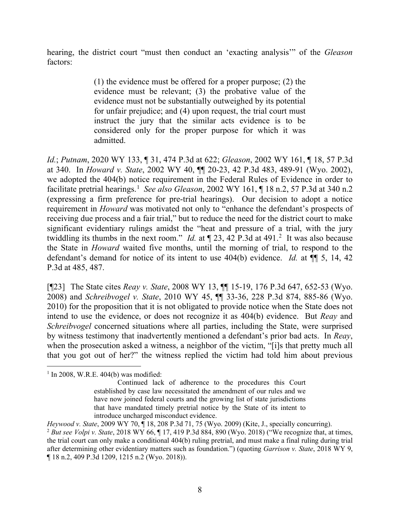hearing, the district court "must then conduct an 'exacting analysis'" of the *Gleason* factors:

> (1) the evidence must be offered for a proper purpose; (2) the evidence must be relevant; (3) the probative value of the evidence must not be substantially outweighed by its potential for unfair prejudice; and (4) upon request, the trial court must instruct the jury that the similar acts evidence is to be considered only for the proper purpose for which it was admitted.

*Id.*; *Putnam*, 2020 WY 133, ¶ 31, 474 P.3d at 622; *Gleason*, 2002 WY 161, ¶ 18, 57 P.3d at 340. In *Howard v. State*, 2002 WY 40, ¶¶ 20-23, 42 P.3d 483, 489-91 (Wyo. 2002), we adopted the 404(b) notice requirement in the Federal Rules of Evidence in order to facilitate pretrial hearings.<sup>[1](#page-8-0)</sup> *See also Gleason*, 2002 WY 161, ¶ 18 n.2, 57 P.3d at 340 n.2 (expressing a firm preference for pre-trial hearings). Our decision to adopt a notice requirement in *Howard* was motivated not only to "enhance the defendant's prospects of receiving due process and a fair trial," but to reduce the need for the district court to make significant evidentiary rulings amidst the "heat and pressure of a trial, with the jury twiddling its thumbs in the next room." *Id.* at  $\P$  [2](#page-8-1)3, 42 P.3d at 491.<sup>2</sup> It was also because the State in *Howard* waited five months, until the morning of trial, to respond to the defendant's demand for notice of its intent to use 404(b) evidence. *Id.* at ¶¶ 5, 14, 42 P.3d at 485, 487.

[¶23] The State cites *Reay v. State*, 2008 WY 13, ¶¶ 15-19, 176 P.3d 647, 652-53 (Wyo. 2008) and *Schreibvogel v. State*, 2010 WY 45, ¶¶ 33-36, 228 P.3d 874, 885-86 (Wyo. 2010) for the proposition that it is not obligated to provide notice when the State does not intend to use the evidence, or does not recognize it as 404(b) evidence. But *Reay* and *Schreibvogel* concerned situations where all parties, including the State, were surprised by witness testimony that inadvertently mentioned a defendant's prior bad acts. In *Reay*, when the prosecution asked a witness, a neighbor of the victim, "[i]s that pretty much all that you got out of her?" the witness replied the victim had told him about previous

<span id="page-8-0"></span> $1$  In 2008, W.R.E. 404(b) was modified:

Continued lack of adherence to the procedures this Court established by case law necessitated the amendment of our rules and we have now joined federal courts and the growing list of state jurisdictions that have mandated timely pretrial notice by the State of its intent to introduce uncharged misconduct evidence.

<span id="page-8-1"></span>*Heywood v. State*, 2009 WY 70, ¶ 18, 208 P.3d 71, 75 (Wyo. 2009) (Kite, J., specially concurring). <sup>2</sup> *But see Volpi v. State*, 2018 WY 66, ¶ 17, 419 P.3d 884, 890 (Wyo. 2018) ("We recognize that, at times, the trial court can only make a conditional 404(b) ruling pretrial, and must make a final ruling during trial after determining other evidentiary matters such as foundation.") (quoting *Garrison v. State*, 2018 WY 9, ¶ 18 n.2, 409 P.3d 1209, 1215 n.2 (Wyo. 2018)).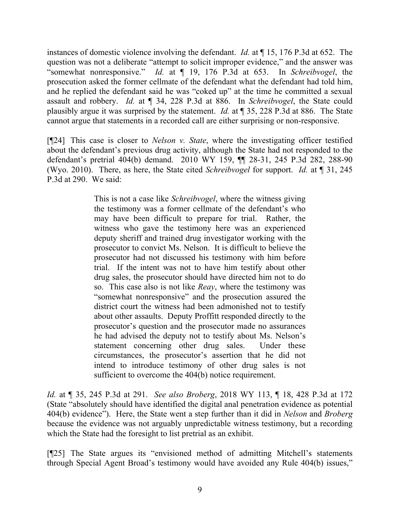instances of domestic violence involving the defendant. *Id.* at ¶ 15, 176 P.3d at 652. The question was not a deliberate "attempt to solicit improper evidence," and the answer was "somewhat nonresponsive." *Id.* at ¶ 19, 176 P.3d at 653. In *Schreibvogel*, the prosecution asked the former cellmate of the defendant what the defendant had told him, and he replied the defendant said he was "coked up" at the time he committed a sexual assault and robbery. *Id.* at ¶ 34, 228 P.3d at 886. In *Schreibvogel*, the State could plausibly argue it was surprised by the statement. *Id.* at ¶ 35, 228 P.3d at 886. The State cannot argue that statements in a recorded call are either surprising or non-responsive.

[¶24] This case is closer to *Nelson v. State*, where the investigating officer testified about the defendant's previous drug activity, although the State had not responded to the defendant's pretrial 404(b) demand. 2010 WY 159, ¶¶ 28-31, 245 P.3d 282, 288-90 (Wyo. 2010). There, as here, the State cited *Schreibvogel* for support. *Id.* at ¶ 31, 245 P.3d at 290. We said:

> This is not a case like *Schreibvogel*, where the witness giving the testimony was a former cellmate of the defendant's who may have been difficult to prepare for trial. Rather, the witness who gave the testimony here was an experienced deputy sheriff and trained drug investigator working with the prosecutor to convict Ms. Nelson. It is difficult to believe the prosecutor had not discussed his testimony with him before trial. If the intent was not to have him testify about other drug sales, the prosecutor should have directed him not to do so. This case also is not like *Reay*, where the testimony was "somewhat nonresponsive" and the prosecution assured the district court the witness had been admonished not to testify about other assaults. Deputy Proffitt responded directly to the prosecutor's question and the prosecutor made no assurances he had advised the deputy not to testify about Ms. Nelson's statement concerning other drug sales. Under these circumstances, the prosecutor's assertion that he did not intend to introduce testimony of other drug sales is not sufficient to overcome the 404(b) notice requirement.

*Id.* at ¶ 35, 245 P.3d at 291. *See also Broberg*, 2018 WY 113, ¶ 18, 428 P.3d at 172 (State "absolutely should have identified the digital anal penetration evidence as potential 404(b) evidence").Here, the State went a step further than it did in *Nelson* and *Broberg* because the evidence was not arguably unpredictable witness testimony, but a recording which the State had the foresight to list pretrial as an exhibit.

[¶25] The State argues its "envisioned method of admitting Mitchell's statements through Special Agent Broad's testimony would have avoided any Rule 404(b) issues,"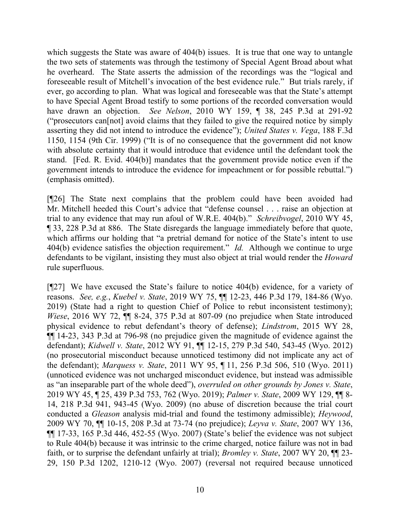which suggests the State was aware of 404(b) issues. It is true that one way to untangle the two sets of statements was through the testimony of Special Agent Broad about what he overheard. The State asserts the admission of the recordings was the "logical and foreseeable result of Mitchell's invocation of the best evidence rule." But trials rarely, if ever, go according to plan. What was logical and foreseeable was that the State's attempt to have Special Agent Broad testify to some portions of the recorded conversation would have drawn an objection. *See Nelson*, 2010 WY 159, ¶ 38, 245 P.3d at 291-92 ("prosecutors can[not] avoid claims that they failed to give the required notice by simply asserting they did not intend to introduce the evidence"); *United States v. Vega*, 188 F.3d 1150, 1154 (9th Cir. 1999) ("It is of no consequence that the government did not know with absolute certainty that it would introduce that evidence until the defendant took the stand. [Fed. R. Evid. 404(b)] mandates that the government provide notice even if the government intends to introduce the evidence for impeachment or for possible rebuttal.") (emphasis omitted).

[¶26] The State next complains that the problem could have been avoided had Mr. Mitchell heeded this Court's advice that "defense counsel . . . raise an objection at trial to any evidence that may run afoul of W.R.E. 404(b)." *Schreibvogel*, 2010 WY 45, ¶ 33, 228 P.3d at 886. The State disregards the language immediately before that quote, which affirms our holding that "a pretrial demand for notice of the State's intent to use 404(b) evidence satisfies the objection requirement." *Id.* Although we continue to urge defendants to be vigilant, insisting they must also object at trial would render the *Howard* rule superfluous.

[¶27] We have excused the State's failure to notice 404(b) evidence, for a variety of reasons. *See, e.g.*, *Kuebel v. State*, 2019 WY 75, ¶¶ 12-23, 446 P.3d 179, 184-86 (Wyo. 2019) (State had a right to question Chief of Police to rebut inconsistent testimony); *Wiese*, 2016 WY 72,  $\P$  8-24, 375 P.3d at 807-09 (no prejudice when State introduced physical evidence to rebut defendant's theory of defense); *Lindstrom*, 2015 WY 28, ¶¶ 14-23, 343 P.3d at 796-98 (no prejudice given the magnitude of evidence against the defendant); *Kidwell v. State*, 2012 WY 91, ¶¶ 12-15, 279 P.3d 540, 543-45 (Wyo. 2012) (no prosecutorial misconduct because unnoticed testimony did not implicate any act of the defendant); *Marquess v. State*, 2011 WY 95, ¶ 11, 256 P.3d 506, 510 (Wyo. 2011) (unnoticed evidence was not uncharged misconduct evidence, but instead was admissible as "an inseparable part of the whole deed"), *overruled on other grounds by Jones v. State*, 2019 WY 45, ¶ 25, 439 P.3d 753, 762 (Wyo. 2019); *Palmer v. State*, 2009 WY 129, ¶¶ 8- 14, 218 P.3d 941, 943-45 (Wyo. 2009) (no abuse of discretion because the trial court conducted a *Gleason* analysis mid-trial and found the testimony admissible); *Heywood*, 2009 WY 70, ¶¶ 10-15, 208 P.3d at 73-74 (no prejudice); *Leyva v. State*, 2007 WY 136, ¶¶ 17-33, 165 P.3d 446, 452-55 (Wyo. 2007) (State's belief the evidence was not subject to Rule 404(b) because it was intrinsic to the crime charged, notice failure was not in bad faith, or to surprise the defendant unfairly at trial); *Bromley v. State*, 2007 WY 20, ¶¶ 23- 29, 150 P.3d 1202, 1210-12 (Wyo. 2007) (reversal not required because unnoticed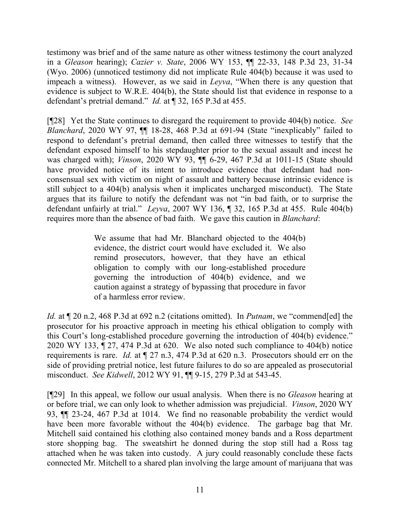testimony was brief and of the same nature as other witness testimony the court analyzed in a *Gleason* hearing); *Cazier v. State*, 2006 WY 153, ¶¶ 22-33, 148 P.3d 23, 31-34 (Wyo. 2006) (unnoticed testimony did not implicate Rule 404(b) because it was used to impeach a witness). However, as we said in *Leyva*, "When there is any question that evidence is subject to W.R.E. 404(b), the State should list that evidence in response to a defendant's pretrial demand." *Id.* at ¶ 32, 165 P.3d at 455.

[¶28] Yet the State continues to disregard the requirement to provide 404(b) notice. *See Blanchard*, 2020 WY 97, ¶¶ 18-28, 468 P.3d at 691-94 (State "inexplicably" failed to respond to defendant's pretrial demand, then called three witnesses to testify that the defendant exposed himself to his stepdaughter prior to the sexual assault and incest he was charged with); *Vinson*, 2020 WY 93, ¶¶ 6-29, 467 P.3d at 1011-15 (State should have provided notice of its intent to introduce evidence that defendant had nonconsensual sex with victim on night of assault and battery because intrinsic evidence is still subject to a 404(b) analysis when it implicates uncharged misconduct). The State argues that its failure to notify the defendant was not "in bad faith, or to surprise the defendant unfairly at trial." *Leyva*, 2007 WY 136, ¶ 32, 165 P.3d at 455. Rule 404(b) requires more than the absence of bad faith. We gave this caution in *Blanchard*:

> We assume that had Mr. Blanchard objected to the 404(b) evidence, the district court would have excluded it. We also remind prosecutors, however, that they have an ethical obligation to comply with our long-established procedure governing the introduction of 404(b) evidence, and we caution against a strategy of bypassing that procedure in favor of a harmless error review.

*Id.* at ¶ 20 n.2, 468 P.3d at 692 n.2 (citations omitted). In *Putnam*, we "commend[ed] the prosecutor for his proactive approach in meeting his ethical obligation to comply with this Court's long-established procedure governing the introduction of 404(b) evidence." 2020 WY 133, ¶ 27, 474 P.3d at 620. We also noted such compliance to 404(b) notice requirements is rare. *Id.* at ¶ 27 n.3, 474 P.3d at 620 n.3. Prosecutors should err on the side of providing pretrial notice, lest future failures to do so are appealed as prosecutorial misconduct. *See Kidwell*, 2012 WY 91, ¶¶ 9-15, 279 P.3d at 543-45.

[¶29] In this appeal, we follow our usual analysis. When there is no *Gleason* hearing at or before trial, we can only look to whether admission was prejudicial. *Vinson*, 2020 WY 93, ¶¶ 23-24, 467 P.3d at 1014. We find no reasonable probability the verdict would have been more favorable without the 404(b) evidence. The garbage bag that Mr. Mitchell said contained his clothing also contained money bands and a Ross department store shopping bag. The sweatshirt he donned during the stop still had a Ross tag attached when he was taken into custody. A jury could reasonably conclude these facts connected Mr. Mitchell to a shared plan involving the large amount of marijuana that was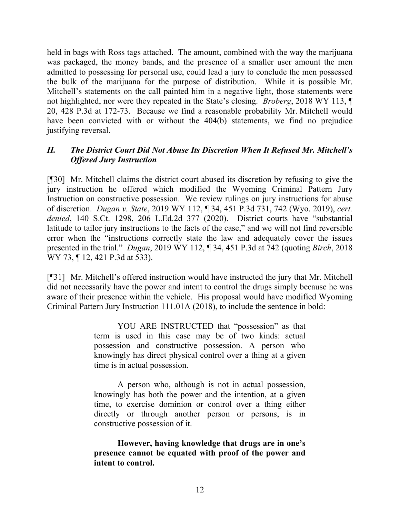held in bags with Ross tags attached. The amount, combined with the way the marijuana was packaged, the money bands, and the presence of a smaller user amount the men admitted to possessing for personal use, could lead a jury to conclude the men possessed the bulk of the marijuana for the purpose of distribution. While it is possible Mr. Mitchell's statements on the call painted him in a negative light, those statements were not highlighted, nor were they repeated in the State's closing. *Broberg*, 2018 WY 113, ¶ 20, 428 P.3d at 172-73. Because we find a reasonable probability Mr. Mitchell would have been convicted with or without the 404(b) statements, we find no prejudice justifying reversal.

## *II. The District Court Did Not Abuse Its Discretion When It Refused Mr. Mitchell's Offered Jury Instruction*

[¶30] Mr. Mitchell claims the district court abused its discretion by refusing to give the jury instruction he offered which modified the Wyoming Criminal Pattern Jury Instruction on constructive possession. We review rulings on jury instructions for abuse of discretion. *Dugan v. State*, 2019 WY 112, ¶ 34, 451 P.3d 731, 742 (Wyo. 2019), *cert. denied*, 140 S.Ct. 1298, 206 L.Ed.2d 377 (2020). District courts have "substantial latitude to tailor jury instructions to the facts of the case," and we will not find reversible error when the "instructions correctly state the law and adequately cover the issues presented in the trial." *Dugan*, 2019 WY 112, ¶ 34, 451 P.3d at 742 (quoting *Birch*, 2018 WY 73, ¶ 12, 421 P.3d at 533).

[¶31] Mr. Mitchell's offered instruction would have instructed the jury that Mr. Mitchell did not necessarily have the power and intent to control the drugs simply because he was aware of their presence within the vehicle. His proposal would have modified Wyoming Criminal Pattern Jury Instruction 111.01A (2018), to include the sentence in bold:

> YOU ARE INSTRUCTED that "possession" as that term is used in this case may be of two kinds: actual possession and constructive possession. A person who knowingly has direct physical control over a thing at a given time is in actual possession.

> A person who, although is not in actual possession, knowingly has both the power and the intention, at a given time, to exercise dominion or control over a thing either directly or through another person or persons, is in constructive possession of it.

> **However, having knowledge that drugs are in one's presence cannot be equated with proof of the power and intent to control.**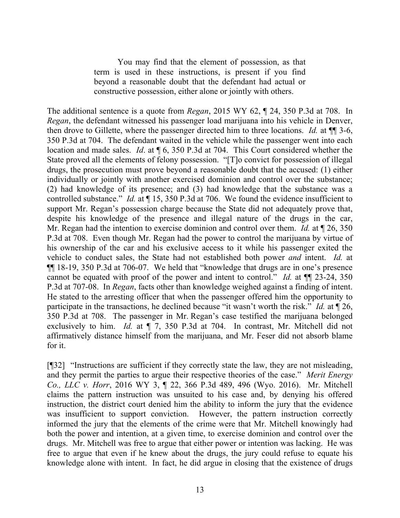You may find that the element of possession, as that term is used in these instructions, is present if you find beyond a reasonable doubt that the defendant had actual or constructive possession, either alone or jointly with others.

The additional sentence is a quote from *Regan*, 2015 WY 62, ¶ 24, 350 P.3d at 708. In *Regan*, the defendant witnessed his passenger load marijuana into his vehicle in Denver, then drove to Gillette, where the passenger directed him to three locations. *Id.* at ¶¶ 3-6, 350 P.3d at 704. The defendant waited in the vehicle while the passenger went into each location and made sales. *Id*. at ¶ 6, 350 P.3d at 704. This Court considered whether the State proved all the elements of felony possession. "[T]o convict for possession of illegal drugs, the prosecution must prove beyond a reasonable doubt that the accused: (1) either individually or jointly with another exercised dominion and control over the substance; (2) had knowledge of its presence; and (3) had knowledge that the substance was a controlled substance." *Id.* at ¶ 15, 350 P.3d at 706. We found the evidence insufficient to support Mr. Regan's possession charge because the State did not adequately prove that, despite his knowledge of the presence and illegal nature of the drugs in the car, Mr. Regan had the intention to exercise dominion and control over them. *Id.* at ¶ 26, 350 P.3d at 708. Even though Mr. Regan had the power to control the marijuana by virtue of his ownership of the car and his exclusive access to it while his passenger exited the vehicle to conduct sales, the State had not established both power *and* intent. *Id.* at ¶¶ 18-19, 350 P.3d at 706-07. We held that "knowledge that drugs are in one's presence cannot be equated with proof of the power and intent to control." *Id.* at ¶¶ 23-24, 350 P.3d at 707-08. In *Regan*, facts other than knowledge weighed against a finding of intent. He stated to the arresting officer that when the passenger offered him the opportunity to participate in the transactions, he declined because "it wasn't worth the risk." *Id.* at ¶ 26, 350 P.3d at 708. The passenger in Mr. Regan's case testified the marijuana belonged exclusively to him. *Id.* at ¶ 7, 350 P.3d at 704. In contrast, Mr. Mitchell did not affirmatively distance himself from the marijuana, and Mr. Feser did not absorb blame for it.

[¶32] "Instructions are sufficient if they correctly state the law, they are not misleading, and they permit the parties to argue their respective theories of the case." *Merit Energy Co., LLC v. Horr*, 2016 WY 3, ¶ 22, 366 P.3d 489, 496 (Wyo. 2016). Mr. Mitchell claims the pattern instruction was unsuited to his case and, by denying his offered instruction, the district court denied him the ability to inform the jury that the evidence was insufficient to support conviction. However, the pattern instruction correctly informed the jury that the elements of the crime were that Mr. Mitchell knowingly had both the power and intention, at a given time, to exercise dominion and control over the drugs. Mr. Mitchell was free to argue that either power or intention was lacking. He was free to argue that even if he knew about the drugs, the jury could refuse to equate his knowledge alone with intent. In fact, he did argue in closing that the existence of drugs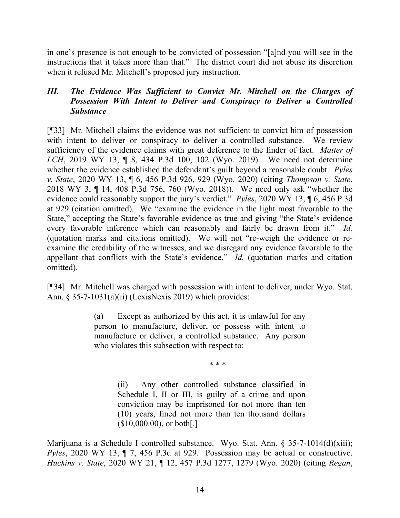in one's presence is not enough to be convicted of possession "[a]nd you will see in the instructions that it takes more than that." The district court did not abuse its discretion when it refused Mr. Mitchell's proposed jury instruction.

### *III. The Evidence Was Sufficient to Convict Mr. Mitchell on the Charges of Possession With Intent to Deliver and Conspiracy to Deliver a Controlled Substance*

[¶33] Mr. Mitchell claims the evidence was not sufficient to convict him of possession with intent to deliver or conspiracy to deliver a controlled substance. We review sufficiency of the evidence claims with great deference to the finder of fact. *Matter of LCH*, 2019 WY 13, ¶ 8, 434 P.3d 100, 102 (Wyo. 2019). We need not determine whether the evidence established the defendant's guilt beyond a reasonable doubt. *Pyles v. State*, 2020 WY 13, ¶ 6, 456 P.3d 926, 929 (Wyo. 2020) (citing *Thompson v. State*, 2018 WY 3, ¶ 14, 408 P.3d 756, 760 (Wyo. 2018)). We need only ask "whether the evidence could reasonably support the jury's verdict." *Pyles*, 2020 WY 13, ¶ 6, 456 P.3d at 929 (citation omitted)*.* We "examine the evidence in the light most favorable to the State," accepting the State's favorable evidence as true and giving "the State's evidence every favorable inference which can reasonably and fairly be drawn from it." *Id.* (quotation marks and citations omitted). We will not "re-weigh the evidence or reexamine the credibility of the witnesses, and we disregard any evidence favorable to the appellant that conflicts with the State's evidence." *Id.* (quotation marks and citation omitted).

[¶34] Mr. Mitchell was charged with possession with intent to deliver, under Wyo. Stat. Ann. § 35-7-1031(a)(ii) (LexisNexis 2019) which provides:

> (a) Except as authorized by this act, it is unlawful for any person to manufacture, deliver, or possess with intent to manufacture or deliver, a controlled substance. Any person who violates this subsection with respect to:

> > \* \* \*

(ii) Any other controlled substance classified in Schedule I, II or III, is guilty of a crime and upon conviction may be imprisoned for not more than ten (10) years, fined not more than ten thousand dollars  $($10,000.00)$ , or both[.]

Marijuana is a Schedule I controlled substance. Wyo. Stat. Ann. § 35-7-1014(d)(xiii); *Pyles*, 2020 WY 13, ¶ 7, 456 P.3d at 929. Possession may be actual or constructive. *Huckins v. State*, 2020 WY 21, ¶ 12, 457 P.3d 1277, 1279 (Wyo. 2020) (citing *Regan*,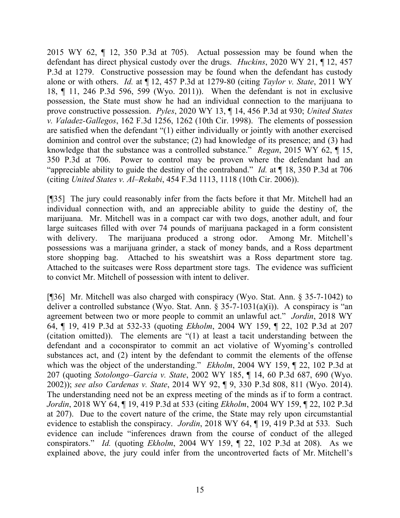2015 WY 62, ¶ 12, 350 P.3d at 705). Actual possession may be found when the defendant has direct physical custody over the drugs. *Huckins*, 2020 WY 21, ¶ 12, 457 P.3d at 1279. Constructive possession may be found when the defendant has custody alone or with others. *Id.* at ¶ 12, 457 P.3d at 1279-80 (citing *Taylor v. State*, 2011 WY 18, ¶ 11, 246 P.3d 596, 599 (Wyo. 2011)). When the defendant is not in exclusive possession, the State must show he had an individual connection to the marijuana to prove constructive possession. *Pyles*, 2020 WY 13, ¶ 14, 456 P.3d at 930; *United States v. Valadez-Gallegos*, 162 F.3d 1256, 1262 (10th Cir. 1998). The elements of possession are satisfied when the defendant "(1) either individually or jointly with another exercised dominion and control over the substance; (2) had knowledge of its presence; and (3) had knowledge that the substance was a controlled substance." *Regan*, 2015 WY 62, ¶ 15, 350 P.3d at 706. Power to control may be proven where the defendant had an "appreciable ability to guide the destiny of the contraband." *Id.* at ¶ 18, 350 P.3d at 706 (citing *United States v. Al–Rekabi*, 454 F.3d 1113, 1118 (10th Cir. 2006)).

[¶35] The jury could reasonably infer from the facts before it that Mr. Mitchell had an individual connection with, and an appreciable ability to guide the destiny of, the marijuana. Mr. Mitchell was in a compact car with two dogs, another adult, and four large suitcases filled with over 74 pounds of marijuana packaged in a form consistent with delivery. The marijuana produced a strong odor. Among Mr. Mitchell's possessions was a marijuana grinder, a stack of money bands, and a Ross department store shopping bag. Attached to his sweatshirt was a Ross department store tag. Attached to the suitcases were Ross department store tags. The evidence was sufficient to convict Mr. Mitchell of possession with intent to deliver.

[¶36] Mr. Mitchell was also charged with conspiracy (Wyo. Stat. Ann. § 35-7-1042) to deliver a controlled substance (Wyo. Stat. Ann.  $\S 35-7-1031(a)(i)$ ). A conspiracy is "an agreement between two or more people to commit an unlawful act." *Jordin*, 2018 WY 64, ¶ 19, 419 P.3d at 532-33 (quoting *Ekholm*, 2004 WY 159, ¶ 22, 102 P.3d at 207 (citation omitted)). The elements are "(1) at least a tacit understanding between the defendant and a coconspirator to commit an act violative of Wyoming's controlled substances act, and (2) intent by the defendant to commit the elements of the offense which was the object of the understanding." *Ekholm*, 2004 WY 159, ¶ 22, 102 P.3d at 207 (quoting *Sotolongo–Garcia v. State*, 2002 WY 185, ¶ 14, 60 P.3d 687, 690 (Wyo. 2002)); *see also Cardenas v. State*, 2014 WY 92, ¶ 9, 330 P.3d 808, 811 (Wyo. 2014). The understanding need not be an express meeting of the minds as if to form a contract. *Jordin*, 2018 WY 64, ¶ 19, 419 P.3d at 533 (citing *Ekholm*, 2004 WY 159, ¶ 22, 102 P.3d at 207). Due to the covert nature of the crime, the State may rely upon circumstantial evidence to establish the conspiracy. *Jordin*, 2018 WY 64, ¶ 19, 419 P.3d at 533*.* Such evidence can include "inferences drawn from the course of conduct of the alleged conspirators." *Id.* (quoting *Ekholm*, 2004 WY 159, ¶ 22, 102 P.3d at 208). As we explained above, the jury could infer from the uncontroverted facts of Mr. Mitchell's